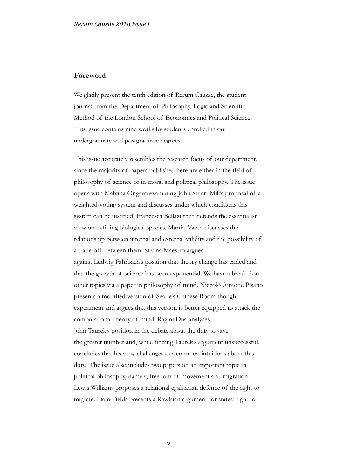## **Foreword:**

We gladly present the tenth edition of Rerum Causae, the student journal from the Department of Philosophy, Logic and Scientific Method of the London School of Economics and Political Science. This issue contains nine works by students enrolled in our undergraduate and postgraduate degrees.

This issue accurately resembles the research focus of our department, since the majority of papers published here are either in the field of philosophy of science or in moral and political philosophy. The issue opens with Malvina Ongaro examining John Stuart Mill's proposal of a weighted-voting system and discusses under which conditions this system can be justified. Francesca Bellazi then defends the essentialist view on defining biological species. Martin Vaeth discusses the relationship between internal and external validity and the possibility of a trade-off between them. Silvina Maestro argues against Ludwig Fahrbach's position that theory change has ended and that the growth of science has been exponential. We have a break from other topics via a paper in philosophy of mind. Niccolò Aimone Pisano presents a modified version of Searle's Chinese Room thought experiment and argues that this version is better equipped to attack the computational theory of mind. Ragini Dua analyses John Taurek's position in the debate about the duty to save the greater number and, while finding Taurek's argument unsuccessful, concludes that his view challenges our common intuitions about this duty.. The issue also includes two papers on an important topic in political philosophy, namely, freedom of movement and migration. Lewis Williams proposes a relational egalitarian defence of the right to migrate. Liam Fields presents a Rawlsian argument for states' right to